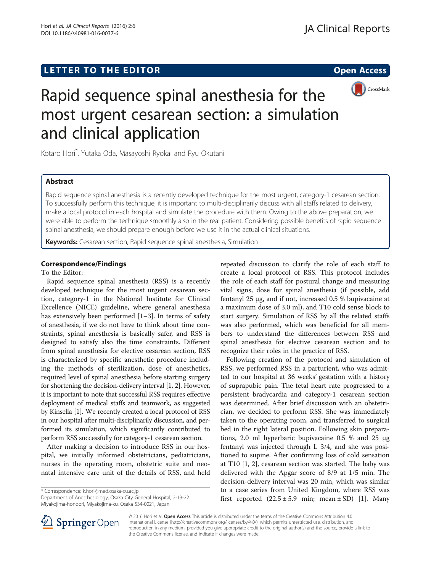# LETTER TO THE EDITOR **CONSIDERING THE EDITOR** CONSIDERING THE STATE AND THE STATE ASSAULT THE STATE AND THE STATE ASSAULT THE STATE AND THE STATE AND THE STATE AND THE STATE AND THE STATE AND THE STATE ASSAULT THE STATE AN



# Rapid sequence spinal anesthesia for the most urgent cesarean section: a simulation and clinical application

Kotaro Hori\* , Yutaka Oda, Masayoshi Ryokai and Ryu Okutani

## Abstract

Rapid sequence spinal anesthesia is a recently developed technique for the most urgent, category-1 cesarean section. To successfully perform this technique, it is important to multi-disciplinarily discuss with all staffs related to delivery, make a local protocol in each hospital and simulate the procedure with them. Owing to the above preparation, we were able to perform the technique smoothly also in the real patient. Considering possible benefits of rapid sequence spinal anesthesia, we should prepare enough before we use it in the actual clinical situations.

Keywords: Cesarean section, Rapid sequence spinal anesthesia, Simulation

## Correspondence/Findings

## To the Editor:

Rapid sequence spinal anesthesia (RSS) is a recently developed technique for the most urgent cesarean section, category-1 in the National Institute for Clinical Excellence (NICE) guideline, where general anesthesia has extensively been performed [\[1](#page-1-0)–[3\]](#page-1-0). In terms of safety of anesthesia, if we do not have to think about time constraints, spinal anesthesia is basically safer, and RSS is designed to satisfy also the time constraints. Different from spinal anesthesia for elective cesarean section, RSS is characterized by specific anesthetic procedure including the methods of sterilization, dose of anesthetics, required level of spinal anesthesia before starting surgery for shortening the decision-delivery interval [\[1](#page-1-0), [2](#page-1-0)]. However, it is important to note that successful RSS requires effective deployment of medical staffs and teamwork, as suggested by Kinsella [\[1](#page-1-0)]. We recently created a local protocol of RSS in our hospital after multi-disciplinarily discussion, and performed its simulation, which significantly contributed to perform RSS successfully for category-1 cesarean section.

After making a decision to introduce RSS in our hospital, we initially informed obstetricians, pediatricians, nurses in the operating room, obstetric suite and neonatal intensive care unit of the details of RSS, and held

\* Correspondence: [k.hori@med.osaka-cu.ac.jp](mailto:k.hori@med.osaka-cu.ac.jp)

Department of Anesthesiology, Osaka City General Hospital, 2-13-22 Miyakojima-hondori, Miyakojima-ku, Osaka 534-0021, Japan

repeated discussion to clarify the role of each staff to create a local protocol of RSS. This protocol includes the role of each staff for postural change and measuring vital signs, dose for spinal anesthesia (if possible, add fentanyl 25 μg, and if not, increased 0.5 % bupivacaine at a maximum dose of 3.0 ml), and T10 cold sense block to start surgery. Simulation of RSS by all the related staffs was also performed, which was beneficial for all members to understand the differences between RSS and spinal anesthesia for elective cesarean section and to recognize their roles in the practice of RSS.

Following creation of the protocol and simulation of RSS, we performed RSS in a parturient, who was admitted to our hospital at 36 weeks' gestation with a history of suprapubic pain. The fetal heart rate progressed to a persistent bradycardia and category-1 cesarean section was determined. After brief discussion with an obstetrician, we decided to perform RSS. She was immediately taken to the operating room, and transferred to surgical bed in the right lateral position. Following skin preparations, 2.0 ml hyperbaric bupivacaine 0.5 % and 25 μg fentanyl was injected through L 3/4, and she was positioned to supine. After confirming loss of cold sensation at T10 [[1, 2\]](#page-1-0), cesarean section was started. The baby was delivered with the Apgar score of 8/9 at 1/5 min. The decision-delivery interval was 20 min, which was similar to a case series from United Kingdom, where RSS was first reported  $(22.5 \pm 5.9 \text{ min}; \text{ mean } \pm \text{ SD})$  [[1](#page-1-0)]. Many



© 2016 Hori et al. Open Access This article is distributed under the terms of the Creative Commons Attribution 4.0 International License ([http://creativecommons.org/licenses/by/4.0/\)](http://creativecommons.org/licenses/by/4.0/), which permits unrestricted use, distribution, and reproduction in any medium, provided you give appropriate credit to the original author(s) and the source, provide a link to the Creative Commons license, and indicate if changes were made.